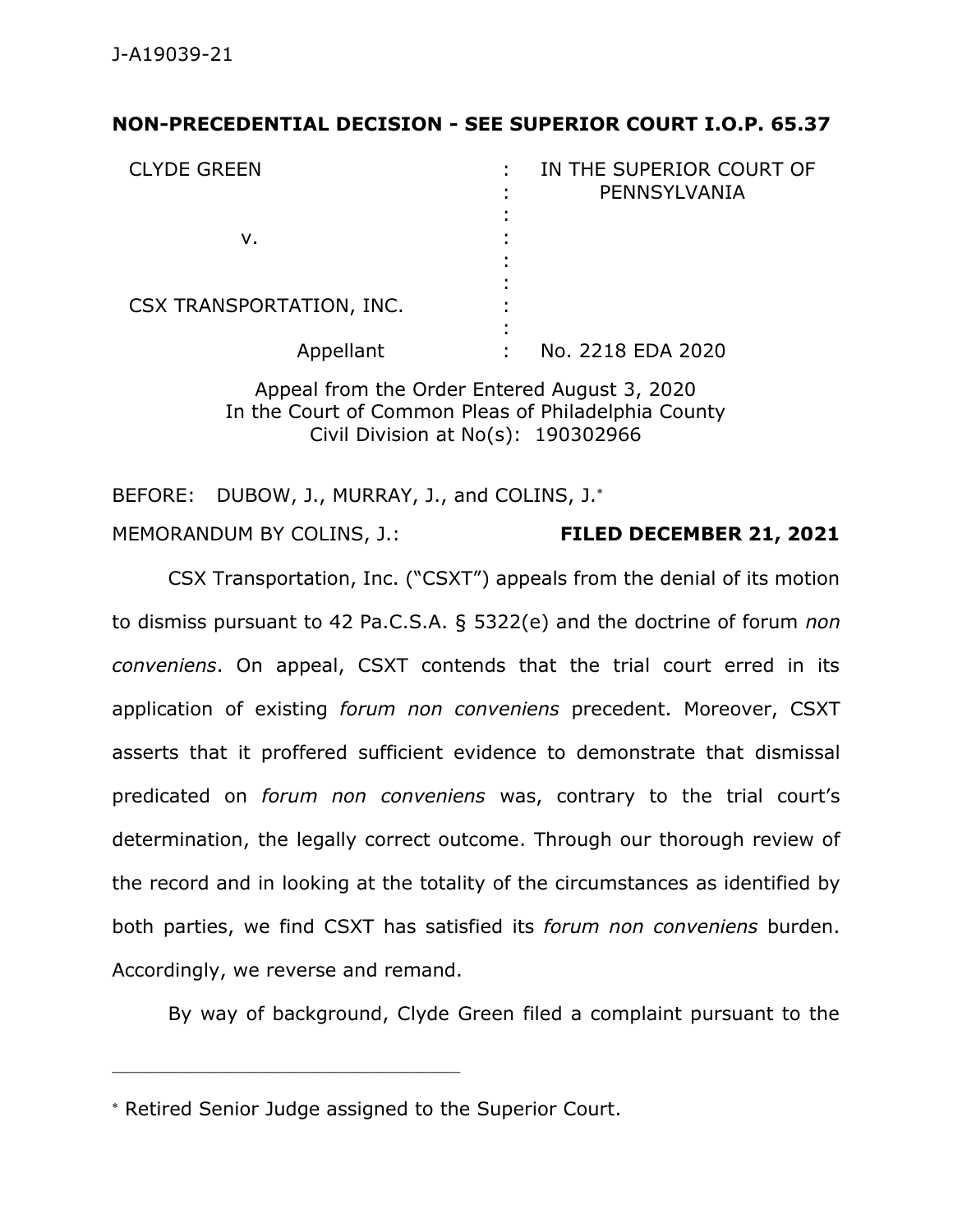## **NON-PRECEDENTIAL DECISION - SEE SUPERIOR COURT I.O.P. 65.37**

| <b>CLYDE GREEN</b>       | IN THE SUPERIOR COURT OF<br>PENNSYLVANIA |
|--------------------------|------------------------------------------|
|                          |                                          |
| v.                       |                                          |
|                          |                                          |
| CSX TRANSPORTATION, INC. |                                          |
| Appellant                | No. 2218 EDA 2020                        |

Appeal from the Order Entered August 3, 2020 In the Court of Common Pleas of Philadelphia County Civil Division at No(s): 190302966

BEFORE: DUBOW, J., MURRAY, J., and COLINS, J.\*

MEMORANDUM BY COLINS, J.: **FILED DECEMBER 21, 2021**

CSX Transportation, Inc. ("CSXT") appeals from the denial of its motion to dismiss pursuant to 42 Pa.C.S.A. § 5322(e) and the doctrine of forum *non conveniens*. On appeal, CSXT contends that the trial court erred in its application of existing *forum non conveniens* precedent. Moreover, CSXT asserts that it proffered sufficient evidence to demonstrate that dismissal predicated on *forum non conveniens* was, contrary to the trial court's determination, the legally correct outcome. Through our thorough review of the record and in looking at the totality of the circumstances as identified by both parties, we find CSXT has satisfied its *forum non conveniens* burden. Accordingly, we reverse and remand.

By way of background, Clyde Green filed a complaint pursuant to the

\_\_\_\_\_\_\_\_\_\_\_\_\_\_\_\_\_\_\_\_\_\_\_\_\_\_\_\_\_\_\_\_\_\_\_\_\_\_\_\_\_\_\_\_

Retired Senior Judge assigned to the Superior Court.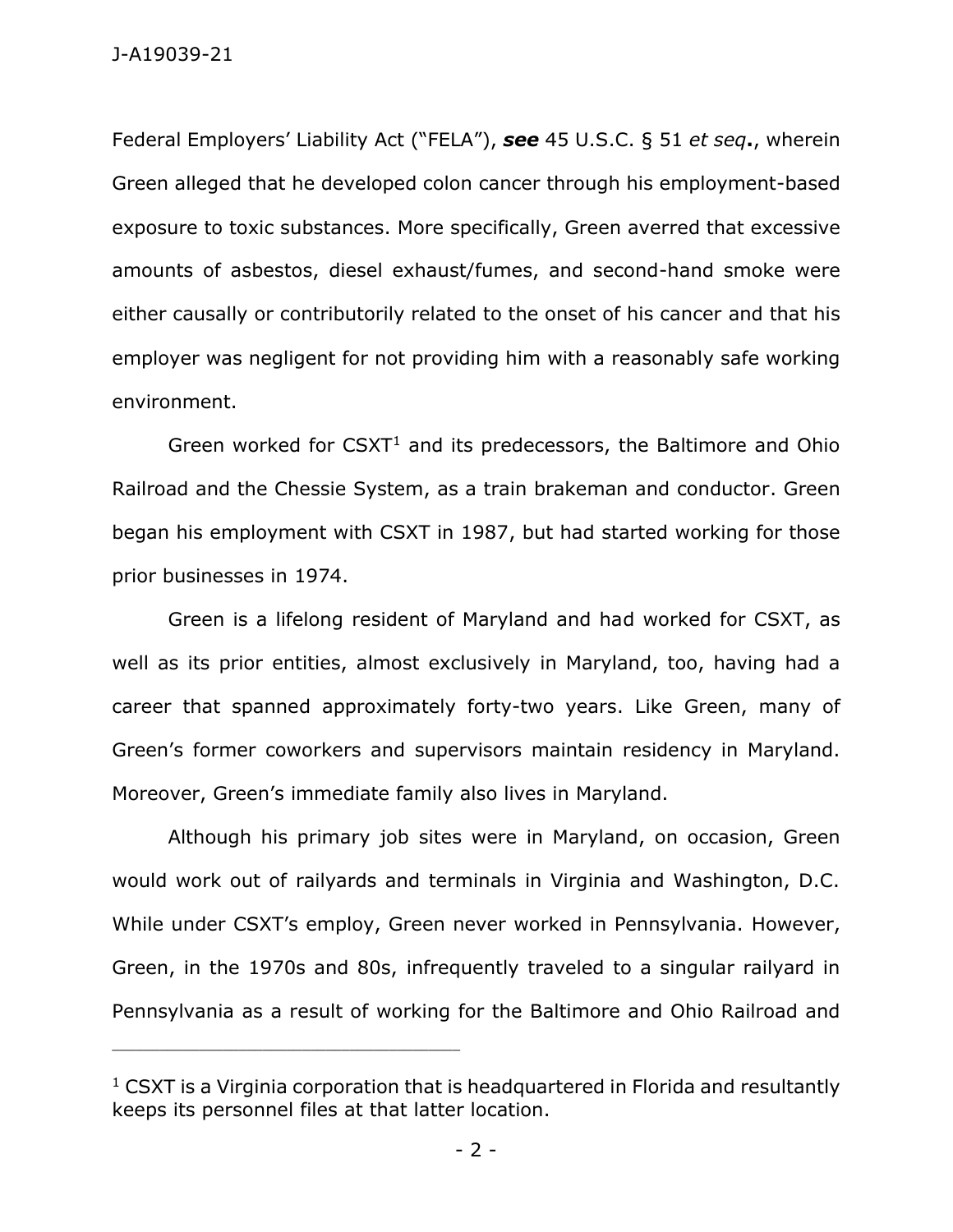Federal Employers' Liability Act ("FELA"), *see* 45 U.S.C. § 51 *et seq***.**, wherein Green alleged that he developed colon cancer through his employment-based exposure to toxic substances. More specifically, Green averred that excessive amounts of asbestos, diesel exhaust/fumes, and second-hand smoke were either causally or contributorily related to the onset of his cancer and that his employer was negligent for not providing him with a reasonably safe working environment.

Green worked for  $CSXT<sup>1</sup>$  and its predecessors, the Baltimore and Ohio Railroad and the Chessie System, as a train brakeman and conductor. Green began his employment with CSXT in 1987, but had started working for those prior businesses in 1974.

Green is a lifelong resident of Maryland and had worked for CSXT, as well as its prior entities, almost exclusively in Maryland, too, having had a career that spanned approximately forty-two years. Like Green, many of Green's former coworkers and supervisors maintain residency in Maryland. Moreover, Green's immediate family also lives in Maryland.

Although his primary job sites were in Maryland, on occasion, Green would work out of railyards and terminals in Virginia and Washington, D.C. While under CSXT's employ, Green never worked in Pennsylvania. However, Green, in the 1970s and 80s, infrequently traveled to a singular railyard in Pennsylvania as a result of working for the Baltimore and Ohio Railroad and

\_\_\_\_\_\_\_\_\_\_\_\_\_\_\_\_\_\_\_\_\_\_\_\_\_\_\_\_\_\_\_\_\_\_\_\_\_\_\_\_\_\_\_\_

 $1$  CSXT is a Virginia corporation that is headquartered in Florida and resultantly keeps its personnel files at that latter location.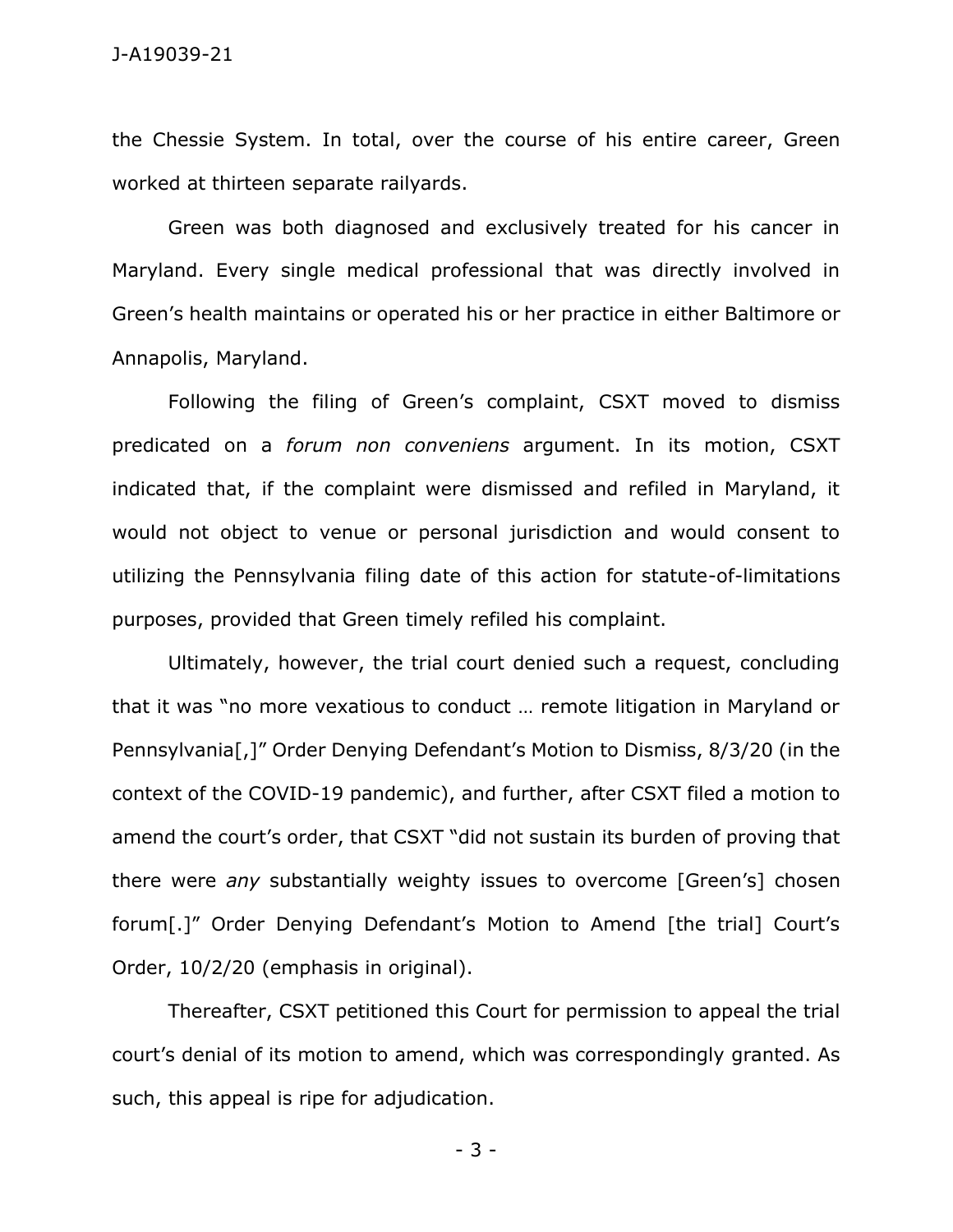the Chessie System. In total, over the course of his entire career, Green worked at thirteen separate railyards.

Green was both diagnosed and exclusively treated for his cancer in Maryland. Every single medical professional that was directly involved in Green's health maintains or operated his or her practice in either Baltimore or Annapolis, Maryland.

Following the filing of Green's complaint, CSXT moved to dismiss predicated on a *forum non conveniens* argument. In its motion, CSXT indicated that, if the complaint were dismissed and refiled in Maryland, it would not object to venue or personal jurisdiction and would consent to utilizing the Pennsylvania filing date of this action for statute-of-limitations purposes, provided that Green timely refiled his complaint.

Ultimately, however, the trial court denied such a request, concluding that it was "no more vexatious to conduct … remote litigation in Maryland or Pennsylvania[,]" Order Denying Defendant's Motion to Dismiss, 8/3/20 (in the context of the COVID-19 pandemic), and further, after CSXT filed a motion to amend the court's order, that CSXT "did not sustain its burden of proving that there were *any* substantially weighty issues to overcome [Green's] chosen forum[.]" Order Denying Defendant's Motion to Amend [the trial] Court's Order, 10/2/20 (emphasis in original).

Thereafter, CSXT petitioned this Court for permission to appeal the trial court's denial of its motion to amend, which was correspondingly granted. As such, this appeal is ripe for adjudication.

- 3 -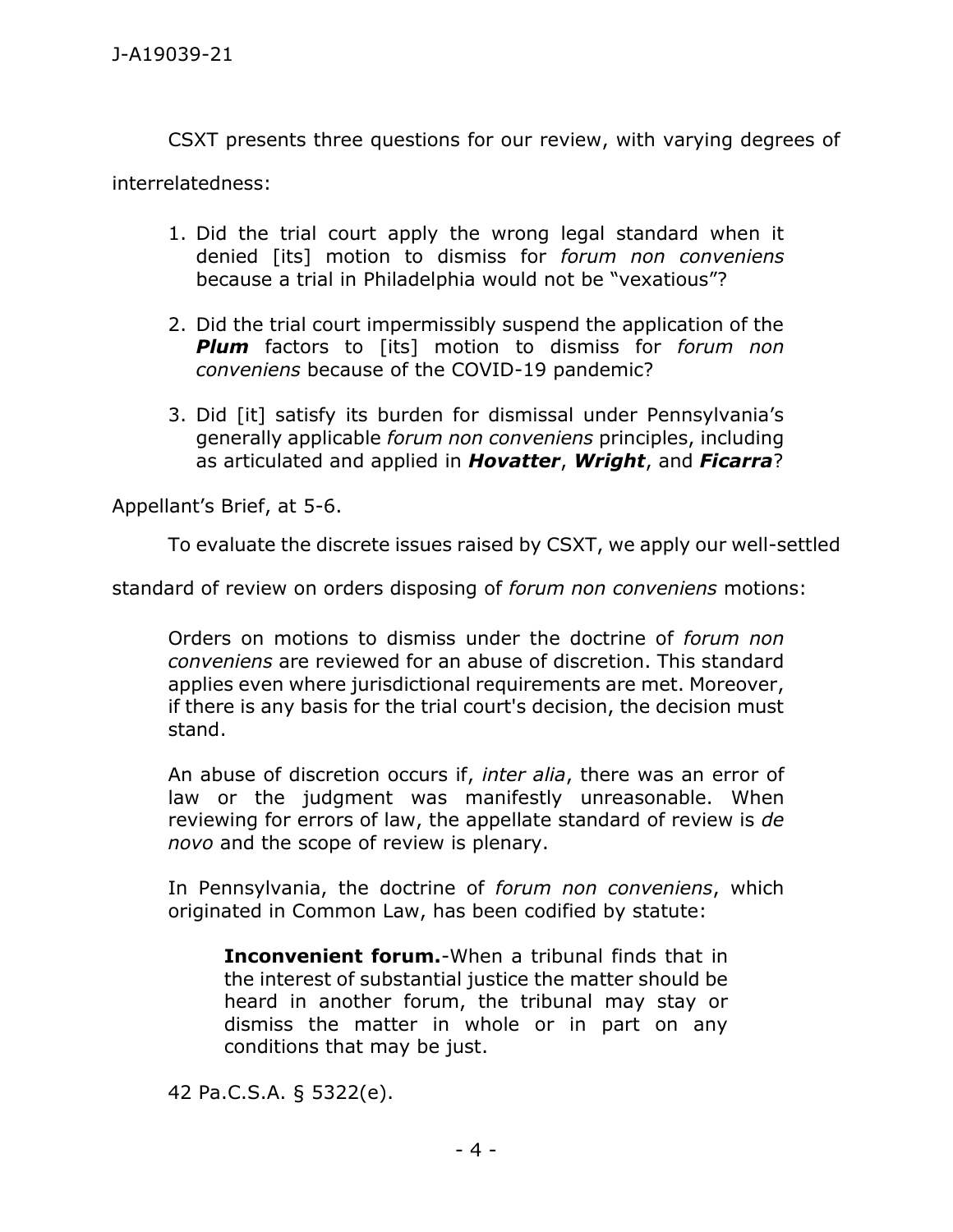CSXT presents three questions for our review, with varying degrees of

interrelatedness:

- 1. Did the trial court apply the wrong legal standard when it denied [its] motion to dismiss for *forum non conveniens*  because a trial in Philadelphia would not be "vexatious"?
- 2. Did the trial court impermissibly suspend the application of the *Plum* factors to [its] motion to dismiss for *forum non conveniens* because of the COVID-19 pandemic?
- 3. Did [it] satisfy its burden for dismissal under Pennsylvania's generally applicable *forum non conveniens* principles, including as articulated and applied in *Hovatter*, *Wright*, and *Ficarra*?

Appellant's Brief, at 5-6.

To evaluate the discrete issues raised by CSXT, we apply our well-settled

standard of review on orders disposing of *forum non conveniens* motions:

Orders on motions to dismiss under the doctrine of *forum non conveniens* are reviewed for an abuse of discretion. This standard applies even where jurisdictional requirements are met. Moreover, if there is any basis for the trial court's decision, the decision must stand.

An abuse of discretion occurs if, *inter alia*, there was an error of law or the judgment was manifestly unreasonable. When reviewing for errors of law, the appellate standard of review is *de novo* and the scope of review is plenary.

In Pennsylvania, the doctrine of *forum non conveniens*, which originated in Common Law, has been codified by statute:

**Inconvenient forum.**-When a tribunal finds that in the interest of substantial justice the matter should be heard in another forum, the tribunal may stay or dismiss the matter in whole or in part on any conditions that may be just.

42 Pa.C.S.A. § 5322(e).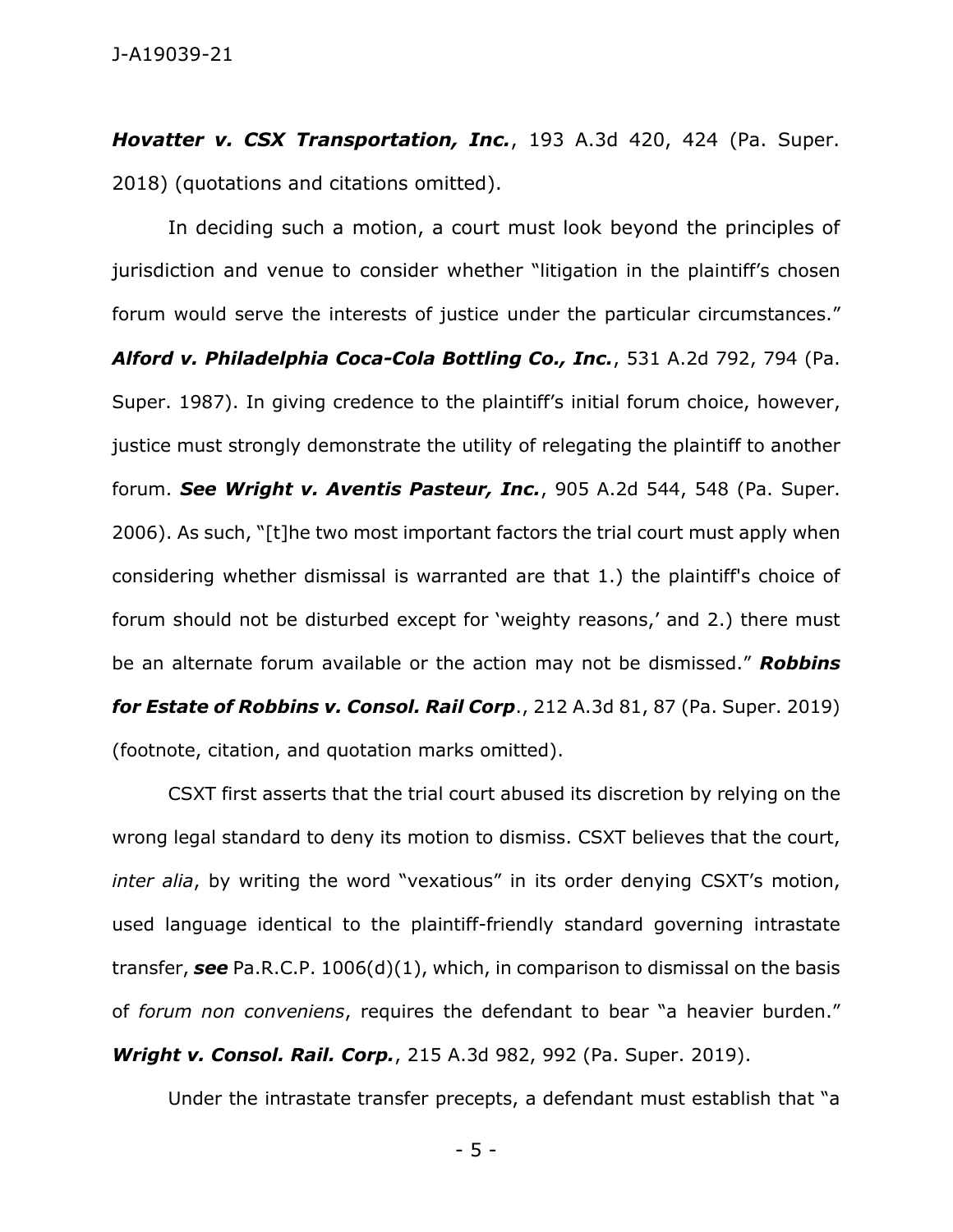*Hovatter v. CSX Transportation, Inc.*, 193 A.3d 420, 424 (Pa. Super. 2018) (quotations and citations omitted).

In deciding such a motion, a court must look beyond the principles of jurisdiction and venue to consider whether "litigation in the plaintiff's chosen forum would serve the interests of justice under the particular circumstances." *Alford v. Philadelphia Coca-Cola Bottling Co., Inc.*, 531 A.2d 792, 794 (Pa. Super. 1987). In giving credence to the plaintiff's initial forum choice, however, justice must strongly demonstrate the utility of relegating the plaintiff to another forum. *See Wright v. Aventis Pasteur, Inc.*, 905 A.2d 544, 548 (Pa. Super. 2006). As such, "[t]he two most important factors the trial court must apply when considering whether dismissal is warranted are that 1.) the plaintiff's choice of forum should not be disturbed except for 'weighty reasons,' and 2.) there must be an alternate forum available or the action may not be dismissed." *Robbins for Estate of Robbins v. Consol. Rail Corp*., 212 A.3d 81, 87 (Pa. Super. 2019) (footnote, citation, and quotation marks omitted).

CSXT first asserts that the trial court abused its discretion by relying on the wrong legal standard to deny its motion to dismiss. CSXT believes that the court, *inter alia*, by writing the word "vexatious" in its order denying CSXT's motion, used language identical to the plaintiff-friendly standard governing intrastate transfer, *see* Pa.R.C.P. 1006(d)(1), which, in comparison to dismissal on the basis of *forum non conveniens*, requires the defendant to bear "a heavier burden." *Wright v. Consol. Rail. Corp.*, 215 A.3d 982, 992 (Pa. Super. 2019).

Under the intrastate transfer precepts, a defendant must establish that "a

- 5 -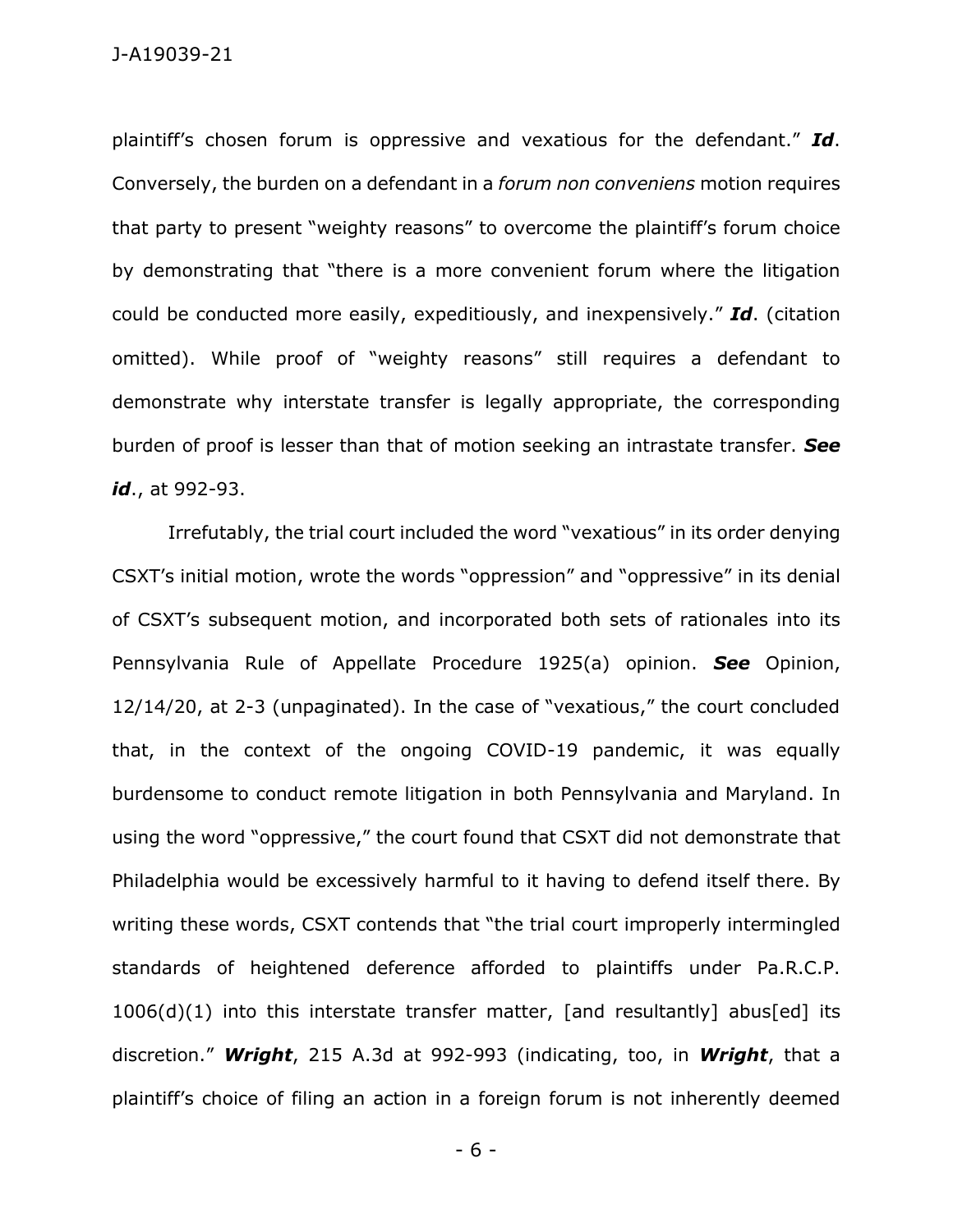plaintiff's chosen forum is oppressive and vexatious for the defendant." *Id*. Conversely, the burden on a defendant in a *forum non conveniens* motion requires that party to present "weighty reasons" to overcome the plaintiff's forum choice by demonstrating that "there is a more convenient forum where the litigation could be conducted more easily, expeditiously, and inexpensively." *Id*. (citation omitted). While proof of "weighty reasons" still requires a defendant to demonstrate why interstate transfer is legally appropriate, the corresponding burden of proof is lesser than that of motion seeking an intrastate transfer. *See id*., at 992-93.

Irrefutably, the trial court included the word "vexatious" in its order denying CSXT's initial motion, wrote the words "oppression" and "oppressive" in its denial of CSXT's subsequent motion, and incorporated both sets of rationales into its Pennsylvania Rule of Appellate Procedure 1925(a) opinion. *See* Opinion, 12/14/20, at 2-3 (unpaginated). In the case of "vexatious," the court concluded that, in the context of the ongoing COVID-19 pandemic, it was equally burdensome to conduct remote litigation in both Pennsylvania and Maryland. In using the word "oppressive," the court found that CSXT did not demonstrate that Philadelphia would be excessively harmful to it having to defend itself there. By writing these words, CSXT contends that "the trial court improperly intermingled standards of heightened deference afforded to plaintiffs under Pa.R.C.P. 1006(d)(1) into this interstate transfer matter, [and resultantly] abus[ed] its discretion." *Wright*, 215 A.3d at 992-993 (indicating, too, in *Wright*, that a plaintiff's choice of filing an action in a foreign forum is not inherently deemed

- 6 -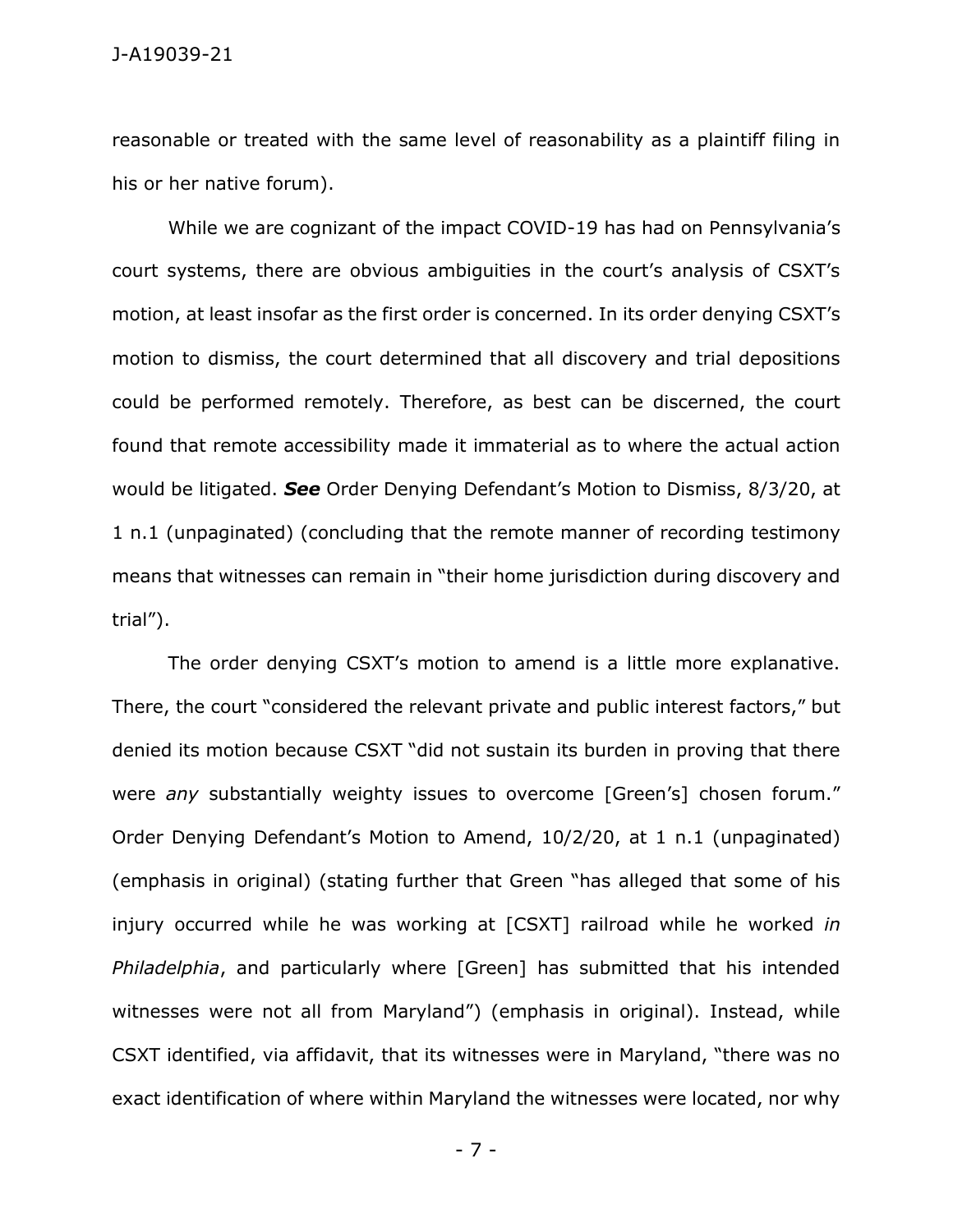reasonable or treated with the same level of reasonability as a plaintiff filing in his or her native forum).

While we are cognizant of the impact COVID-19 has had on Pennsylvania's court systems, there are obvious ambiguities in the court's analysis of CSXT's motion, at least insofar as the first order is concerned. In its order denying CSXT's motion to dismiss, the court determined that all discovery and trial depositions could be performed remotely. Therefore, as best can be discerned, the court found that remote accessibility made it immaterial as to where the actual action would be litigated. *See* Order Denying Defendant's Motion to Dismiss, 8/3/20, at 1 n.1 (unpaginated) (concluding that the remote manner of recording testimony means that witnesses can remain in "their home jurisdiction during discovery and trial").

The order denying CSXT's motion to amend is a little more explanative. There, the court "considered the relevant private and public interest factors," but denied its motion because CSXT "did not sustain its burden in proving that there were *any* substantially weighty issues to overcome [Green's] chosen forum." Order Denying Defendant's Motion to Amend, 10/2/20, at 1 n.1 (unpaginated) (emphasis in original) (stating further that Green "has alleged that some of his injury occurred while he was working at [CSXT] railroad while he worked *in Philadelphia*, and particularly where [Green] has submitted that his intended witnesses were not all from Maryland") (emphasis in original). Instead, while CSXT identified, via affidavit, that its witnesses were in Maryland, "there was no exact identification of where within Maryland the witnesses were located, nor why

- 7 -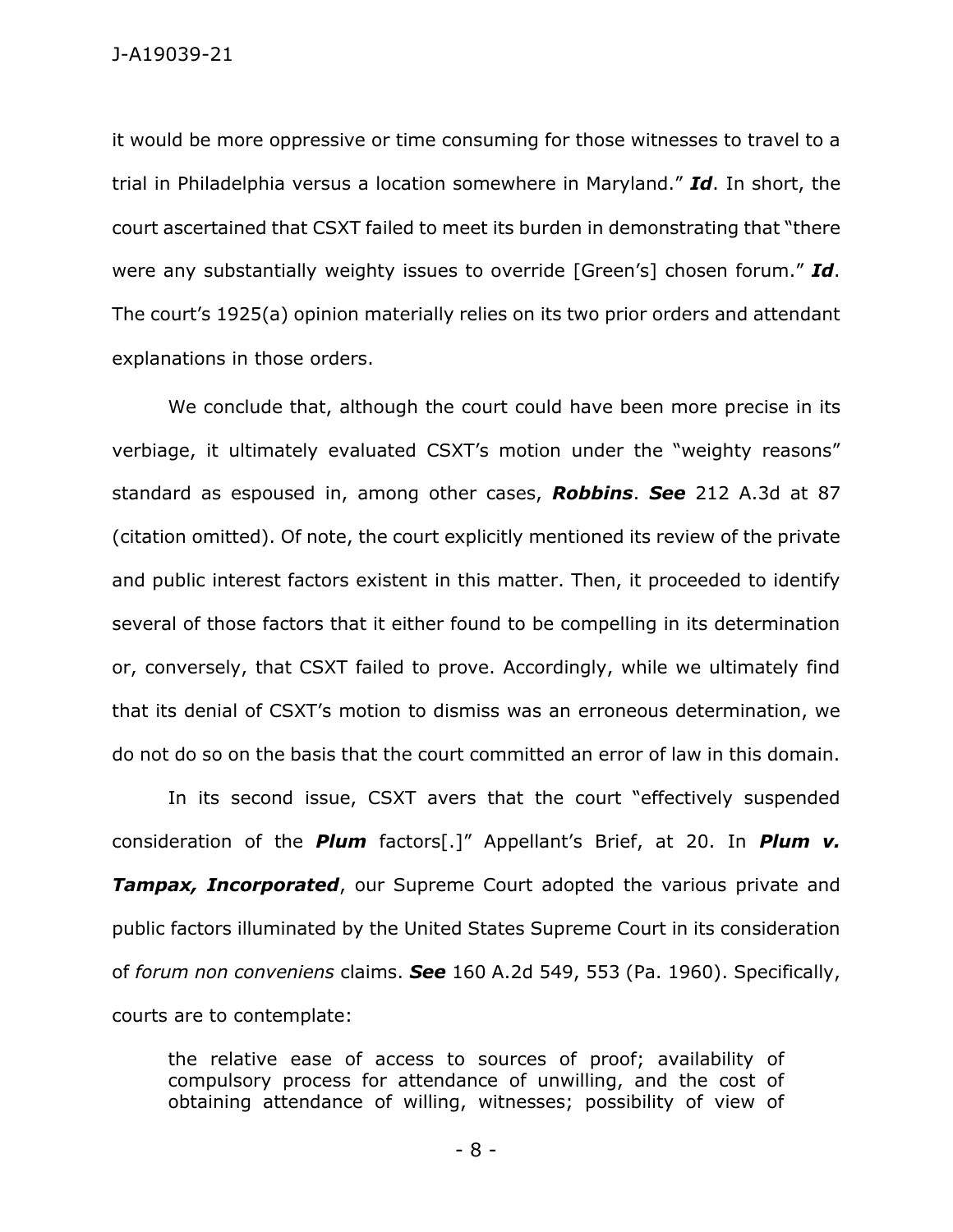it would be more oppressive or time consuming for those witnesses to travel to a trial in Philadelphia versus a location somewhere in Maryland." *Id*. In short, the court ascertained that CSXT failed to meet its burden in demonstrating that "there were any substantially weighty issues to override [Green's] chosen forum." *Id*. The court's 1925(a) opinion materially relies on its two prior orders and attendant explanations in those orders.

We conclude that, although the court could have been more precise in its verbiage, it ultimately evaluated CSXT's motion under the "weighty reasons" standard as espoused in, among other cases, *Robbins*. *See* 212 A.3d at 87 (citation omitted). Of note, the court explicitly mentioned its review of the private and public interest factors existent in this matter. Then, it proceeded to identify several of those factors that it either found to be compelling in its determination or, conversely, that CSXT failed to prove. Accordingly, while we ultimately find that its denial of CSXT's motion to dismiss was an erroneous determination, we do not do so on the basis that the court committed an error of law in this domain.

In its second issue, CSXT avers that the court "effectively suspended consideration of the *Plum* factors[.]" Appellant's Brief, at 20. In *Plum v.*  **Tampax, Incorporated**, our Supreme Court adopted the various private and public factors illuminated by the United States Supreme Court in its consideration of *forum non conveniens* claims. *See* 160 A.2d 549, 553 (Pa. 1960). Specifically, courts are to contemplate:

the relative ease of access to sources of proof; availability of compulsory process for attendance of unwilling, and the cost of obtaining attendance of willing, witnesses; possibility of view of

- 8 -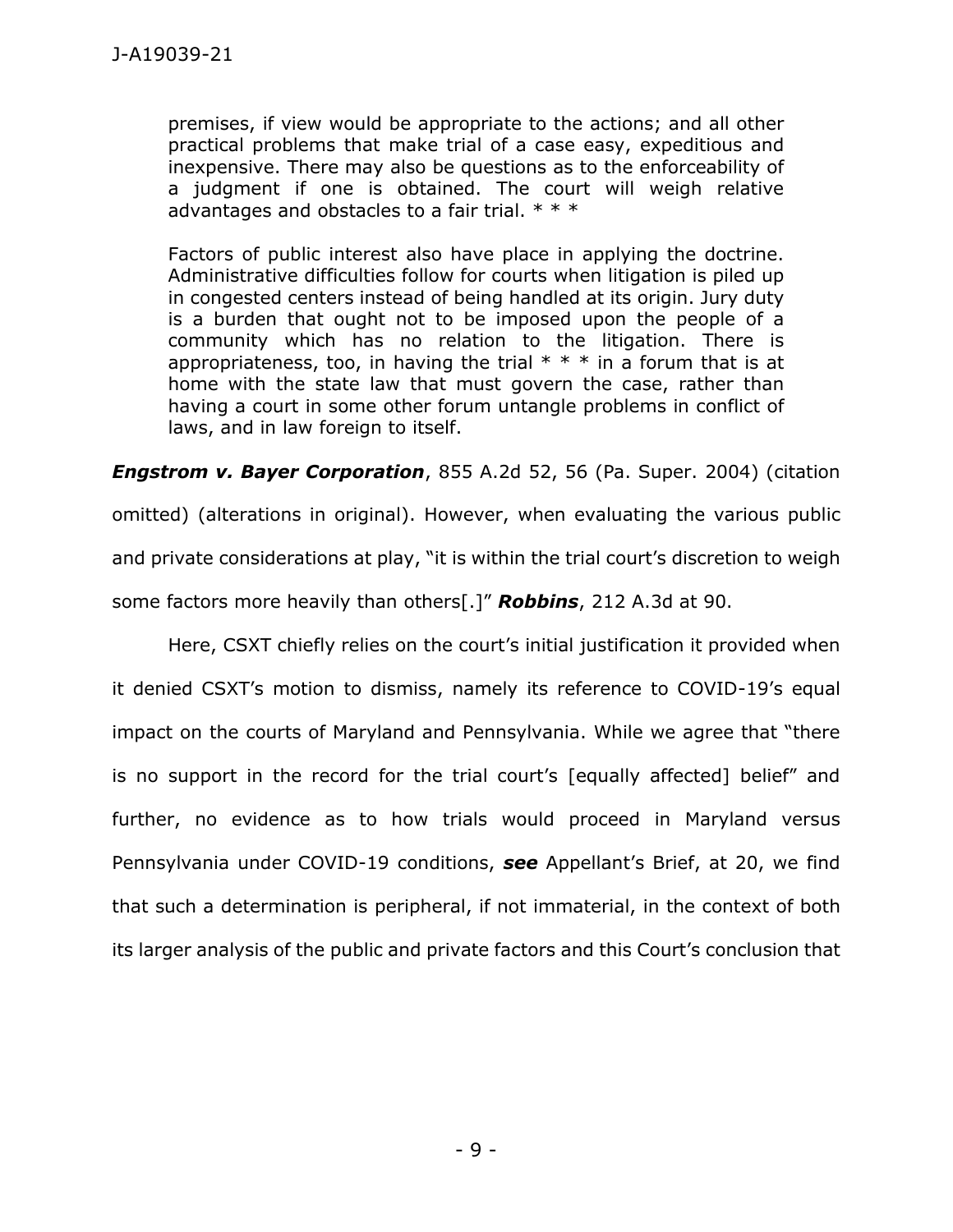premises, if view would be appropriate to the actions; and all other practical problems that make trial of a case easy, expeditious and inexpensive. There may also be questions as to the enforceability of a judgment if one is obtained. The court will weigh relative advantages and obstacles to a fair trial.  $* * *$ 

Factors of public interest also have place in applying the doctrine. Administrative difficulties follow for courts when litigation is piled up in congested centers instead of being handled at its origin. Jury duty is a burden that ought not to be imposed upon the people of a community which has no relation to the litigation. There is appropriateness, too, in having the trial  $* * *$  in a forum that is at home with the state law that must govern the case, rather than having a court in some other forum untangle problems in conflict of laws, and in law foreign to itself.

*Engstrom v. Bayer Corporation*, 855 A.2d 52, 56 (Pa. Super. 2004) (citation omitted) (alterations in original). However, when evaluating the various public and private considerations at play, "it is within the trial court's discretion to weigh some factors more heavily than others[.]" *Robbins*, 212 A.3d at 90.

Here, CSXT chiefly relies on the court's initial justification it provided when it denied CSXT's motion to dismiss, namely its reference to COVID-19's equal impact on the courts of Maryland and Pennsylvania. While we agree that "there is no support in the record for the trial court's [equally affected] belief" and further, no evidence as to how trials would proceed in Maryland versus Pennsylvania under COVID-19 conditions, *see* Appellant's Brief, at 20, we find that such a determination is peripheral, if not immaterial, in the context of both its larger analysis of the public and private factors and this Court's conclusion that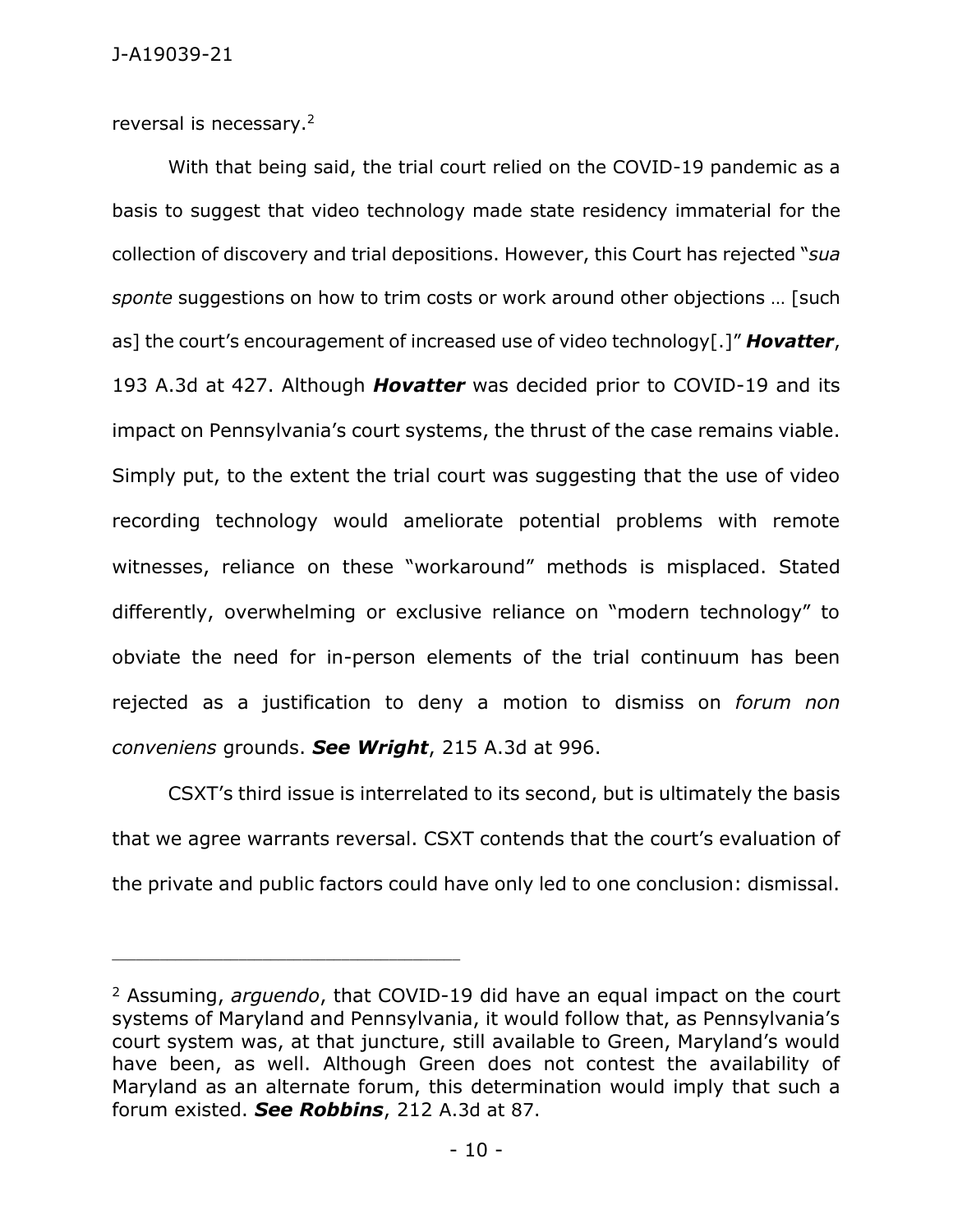reversal is necessary.<sup>2</sup>

With that being said, the trial court relied on the COVID-19 pandemic as a basis to suggest that video technology made state residency immaterial for the collection of discovery and trial depositions. However, this Court has rejected "*sua sponte* suggestions on how to trim costs or work around other objections … [such as] the court's encouragement of increased use of video technology[.]" *Hovatter*, 193 A.3d at 427. Although *Hovatter* was decided prior to COVID-19 and its impact on Pennsylvania's court systems, the thrust of the case remains viable. Simply put, to the extent the trial court was suggesting that the use of video recording technology would ameliorate potential problems with remote witnesses, reliance on these "workaround" methods is misplaced. Stated differently, overwhelming or exclusive reliance on "modern technology" to obviate the need for in-person elements of the trial continuum has been rejected as a justification to deny a motion to dismiss on *forum non conveniens* grounds. *See Wright*, 215 A.3d at 996.

CSXT's third issue is interrelated to its second, but is ultimately the basis that we agree warrants reversal. CSXT contends that the court's evaluation of the private and public factors could have only led to one conclusion: dismissal.

<sup>2</sup> Assuming, *arguendo*, that COVID-19 did have an equal impact on the court systems of Maryland and Pennsylvania, it would follow that, as Pennsylvania's court system was, at that juncture, still available to Green, Maryland's would have been, as well. Although Green does not contest the availability of Maryland as an alternate forum, this determination would imply that such a forum existed. *See Robbins*, 212 A.3d at 87.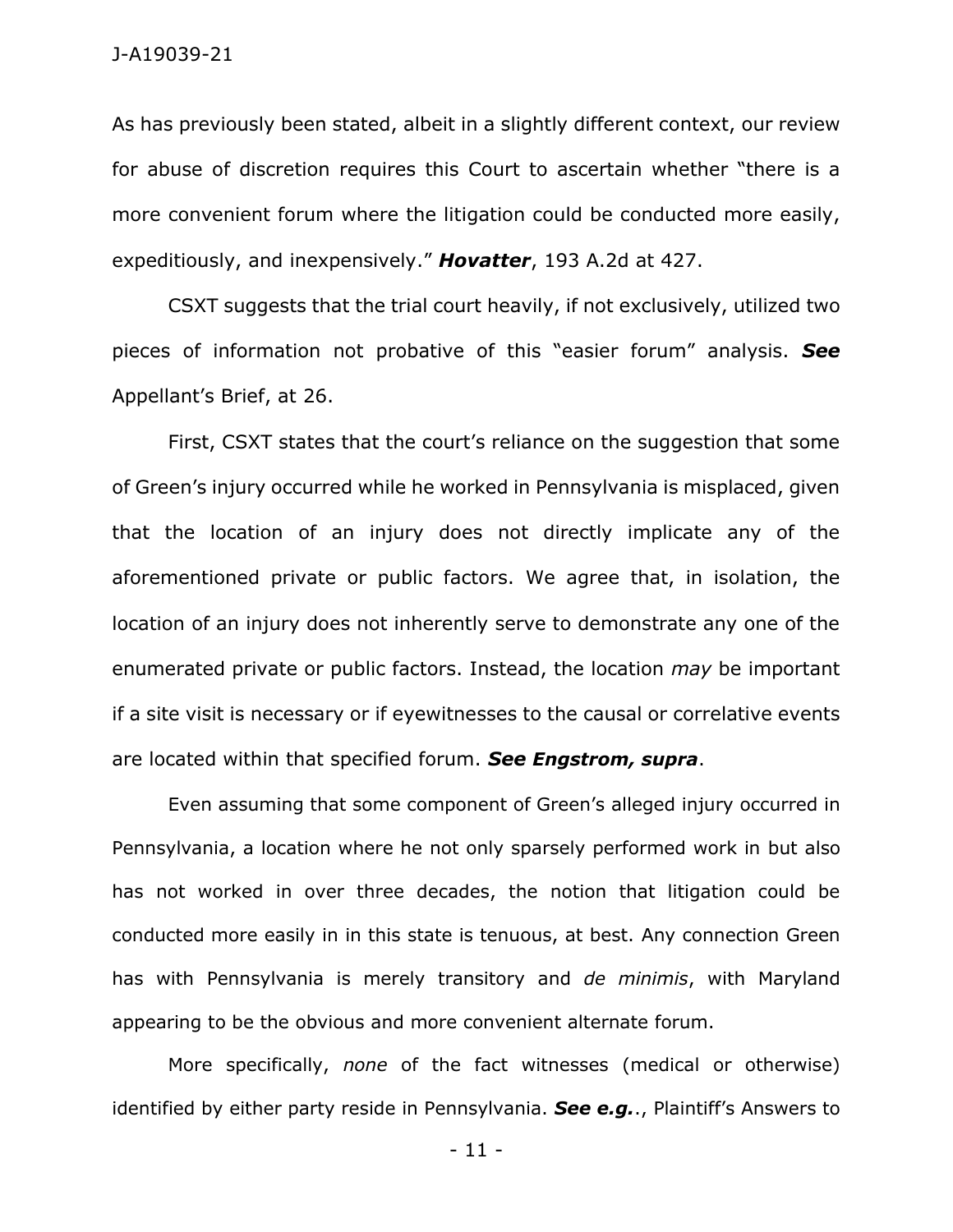As has previously been stated, albeit in a slightly different context, our review for abuse of discretion requires this Court to ascertain whether "there is a more convenient forum where the litigation could be conducted more easily, expeditiously, and inexpensively." *Hovatter*, 193 A.2d at 427.

CSXT suggests that the trial court heavily, if not exclusively, utilized two pieces of information not probative of this "easier forum" analysis. *See*  Appellant's Brief, at 26.

First, CSXT states that the court's reliance on the suggestion that some of Green's injury occurred while he worked in Pennsylvania is misplaced, given that the location of an injury does not directly implicate any of the aforementioned private or public factors. We agree that, in isolation, the location of an injury does not inherently serve to demonstrate any one of the enumerated private or public factors. Instead, the location *may* be important if a site visit is necessary or if eyewitnesses to the causal or correlative events are located within that specified forum. *See Engstrom, supra*.

Even assuming that some component of Green's alleged injury occurred in Pennsylvania, a location where he not only sparsely performed work in but also has not worked in over three decades, the notion that litigation could be conducted more easily in in this state is tenuous, at best. Any connection Green has with Pennsylvania is merely transitory and *de minimis*, with Maryland appearing to be the obvious and more convenient alternate forum.

More specifically, *none* of the fact witnesses (medical or otherwise) identified by either party reside in Pennsylvania. *See e.g.*., Plaintiff's Answers to

- 11 -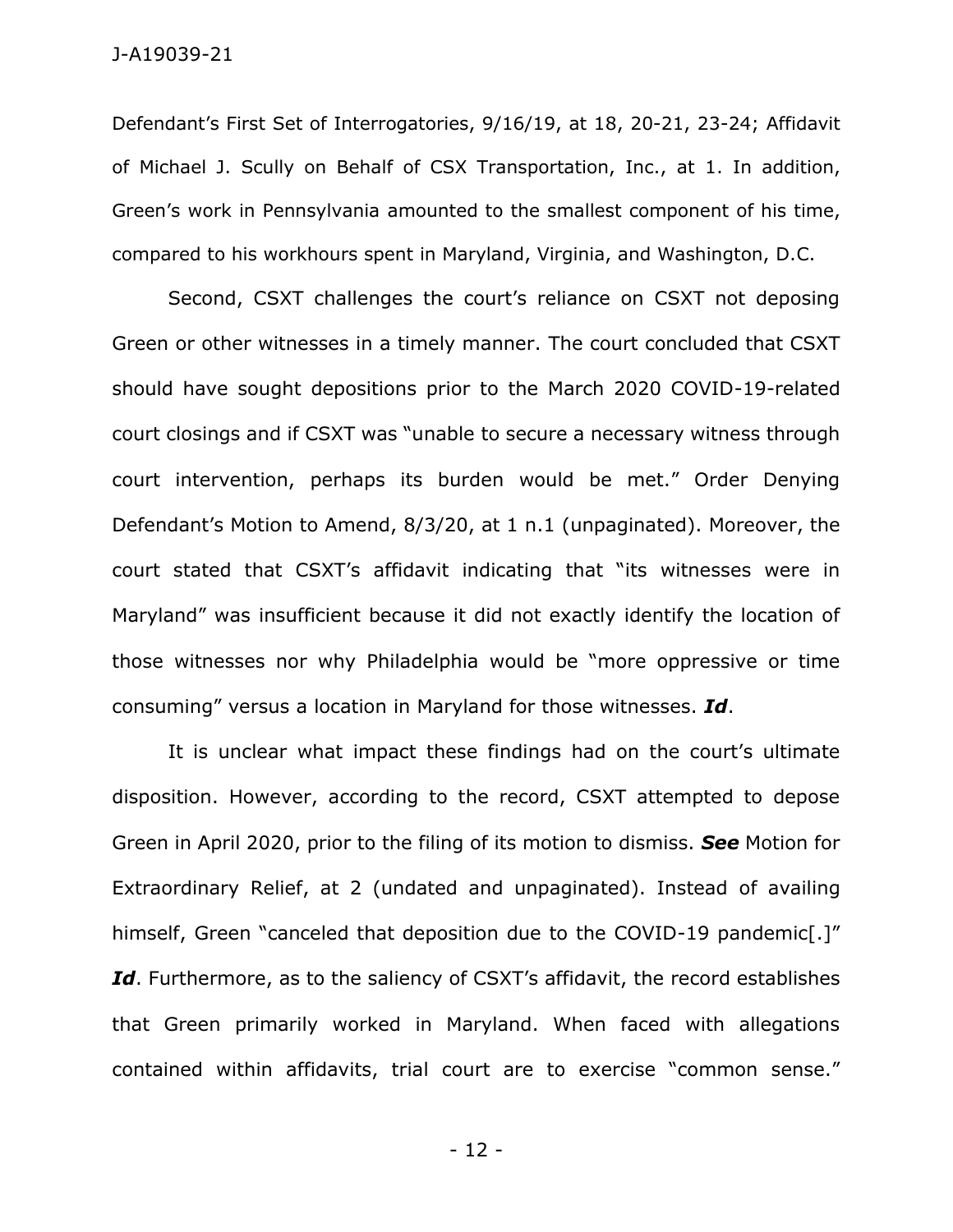Defendant's First Set of Interrogatories, 9/16/19, at 18, 20-21, 23-24; Affidavit of Michael J. Scully on Behalf of CSX Transportation, Inc., at 1. In addition, Green's work in Pennsylvania amounted to the smallest component of his time, compared to his workhours spent in Maryland, Virginia, and Washington, D.C.

Second, CSXT challenges the court's reliance on CSXT not deposing Green or other witnesses in a timely manner. The court concluded that CSXT should have sought depositions prior to the March 2020 COVID-19-related court closings and if CSXT was "unable to secure a necessary witness through court intervention, perhaps its burden would be met." Order Denying Defendant's Motion to Amend, 8/3/20, at 1 n.1 (unpaginated). Moreover, the court stated that CSXT's affidavit indicating that "its witnesses were in Maryland" was insufficient because it did not exactly identify the location of those witnesses nor why Philadelphia would be "more oppressive or time consuming" versus a location in Maryland for those witnesses. *Id*.

It is unclear what impact these findings had on the court's ultimate disposition. However, according to the record, CSXT attempted to depose Green in April 2020, prior to the filing of its motion to dismiss. *See* Motion for Extraordinary Relief, at 2 (undated and unpaginated). Instead of availing himself, Green "canceled that deposition due to the COVID-19 pandemic<sup>[1]</sup>" Id. Furthermore, as to the saliency of CSXT's affidavit, the record establishes that Green primarily worked in Maryland. When faced with allegations contained within affidavits, trial court are to exercise "common sense."

- 12 -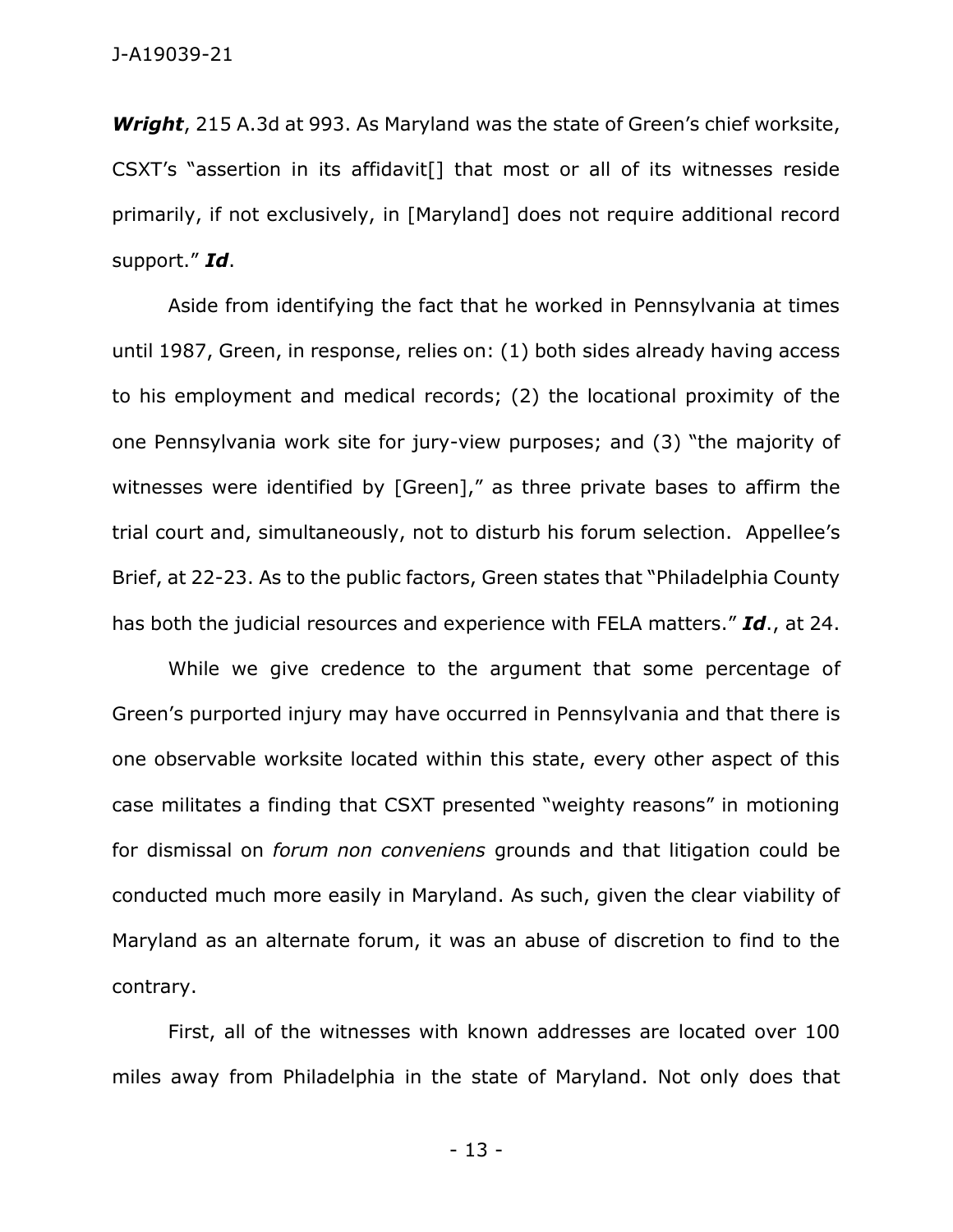*Wright*, 215 A.3d at 993. As Maryland was the state of Green's chief worksite, CSXT's "assertion in its affidavit[] that most or all of its witnesses reside primarily, if not exclusively, in [Maryland] does not require additional record support." *Id*.

Aside from identifying the fact that he worked in Pennsylvania at times until 1987, Green, in response, relies on: (1) both sides already having access to his employment and medical records; (2) the locational proximity of the one Pennsylvania work site for jury-view purposes; and (3) "the majority of witnesses were identified by [Green]," as three private bases to affirm the trial court and, simultaneously, not to disturb his forum selection. Appellee's Brief, at 22-23. As to the public factors, Green states that "Philadelphia County has both the judicial resources and experience with FELA matters." *Id*., at 24.

While we give credence to the argument that some percentage of Green's purported injury may have occurred in Pennsylvania and that there is one observable worksite located within this state, every other aspect of this case militates a finding that CSXT presented "weighty reasons" in motioning for dismissal on *forum non conveniens* grounds and that litigation could be conducted much more easily in Maryland. As such, given the clear viability of Maryland as an alternate forum, it was an abuse of discretion to find to the contrary.

First, all of the witnesses with known addresses are located over 100 miles away from Philadelphia in the state of Maryland. Not only does that

- 13 -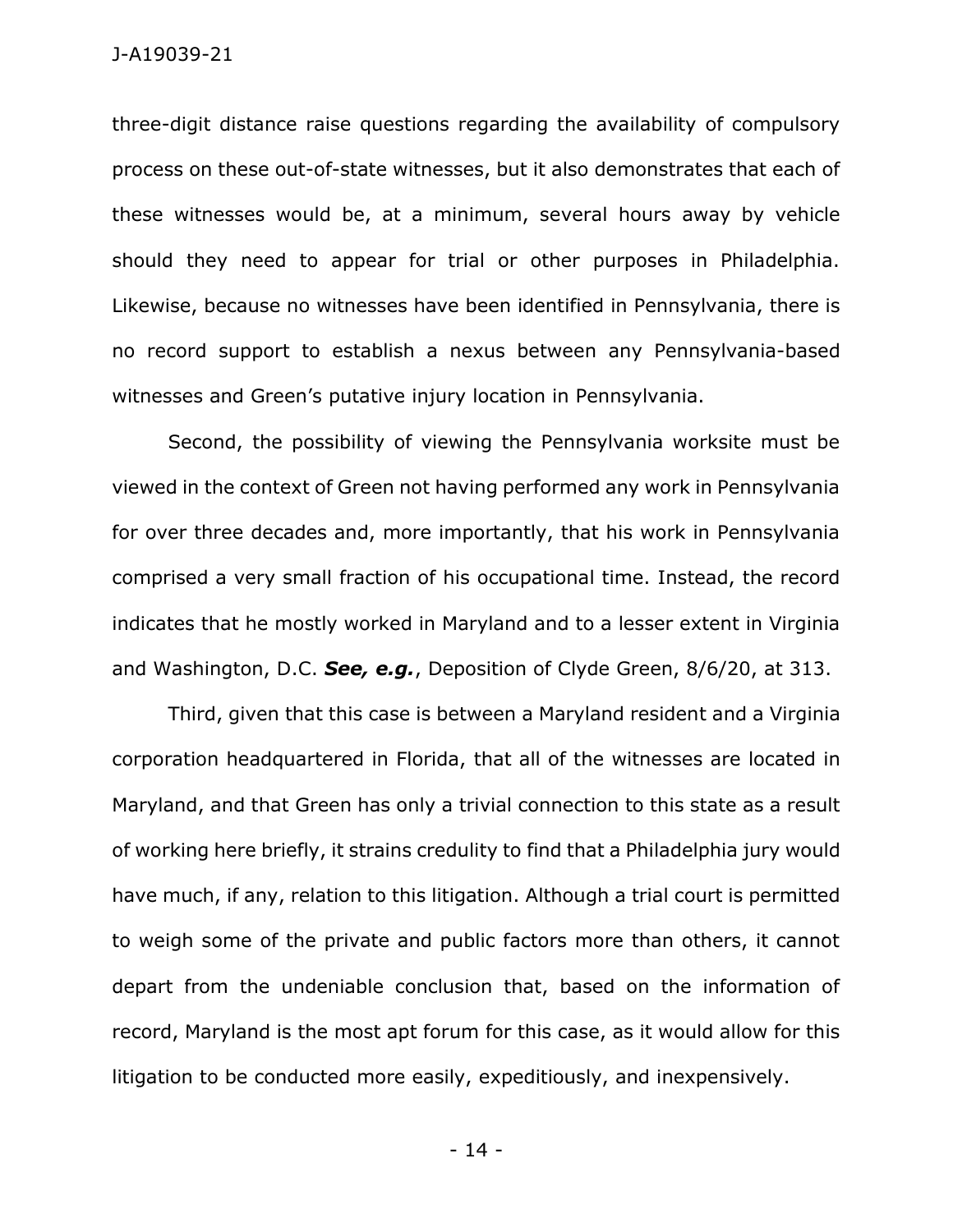three-digit distance raise questions regarding the availability of compulsory process on these out-of-state witnesses, but it also demonstrates that each of these witnesses would be, at a minimum, several hours away by vehicle should they need to appear for trial or other purposes in Philadelphia. Likewise, because no witnesses have been identified in Pennsylvania, there is no record support to establish a nexus between any Pennsylvania-based witnesses and Green's putative injury location in Pennsylvania.

Second, the possibility of viewing the Pennsylvania worksite must be viewed in the context of Green not having performed any work in Pennsylvania for over three decades and, more importantly, that his work in Pennsylvania comprised a very small fraction of his occupational time. Instead, the record indicates that he mostly worked in Maryland and to a lesser extent in Virginia and Washington, D.C. *See, e.g.*, Deposition of Clyde Green, 8/6/20, at 313.

Third, given that this case is between a Maryland resident and a Virginia corporation headquartered in Florida, that all of the witnesses are located in Maryland, and that Green has only a trivial connection to this state as a result of working here briefly, it strains credulity to find that a Philadelphia jury would have much, if any, relation to this litigation. Although a trial court is permitted to weigh some of the private and public factors more than others, it cannot depart from the undeniable conclusion that, based on the information of record, Maryland is the most apt forum for this case, as it would allow for this litigation to be conducted more easily, expeditiously, and inexpensively.

- 14 -